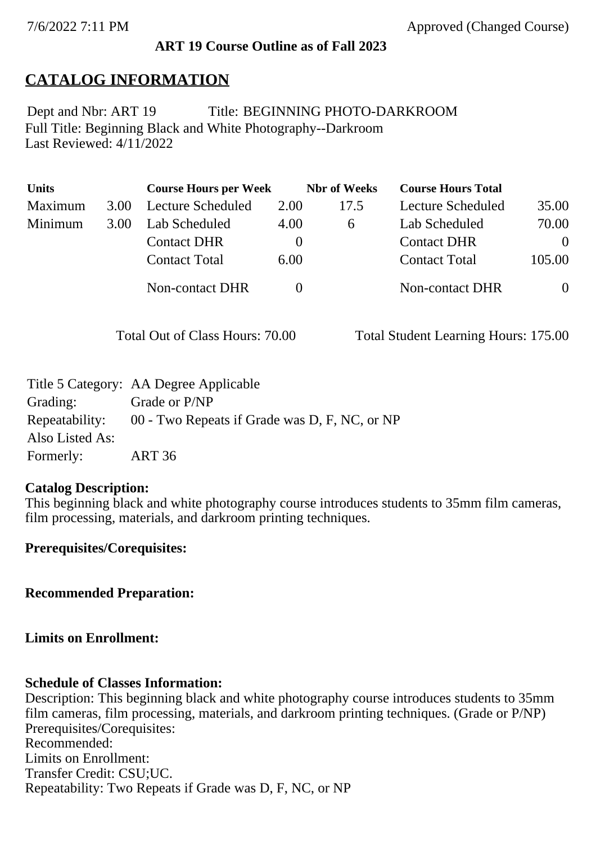### **ART 19 Course Outline as of Fall 2023**

## **CATALOG INFORMATION**

Full Title: Beginning Black and White Photography--Darkroom Last Reviewed: 4/11/2022 Dept and Nbr: ART 19 Title: BEGINNING PHOTO-DARKROOM

| <b>Units</b> |      | <b>Course Hours per Week</b> |          | <b>Nbr</b> of Weeks | <b>Course Hours Total</b> |                |
|--------------|------|------------------------------|----------|---------------------|---------------------------|----------------|
| Maximum      | 3.00 | Lecture Scheduled            | 2.00     | 17.5                | Lecture Scheduled         | 35.00          |
| Minimum      | 3.00 | Lab Scheduled                | 4.00     | 6                   | Lab Scheduled             | 70.00          |
|              |      | <b>Contact DHR</b>           | $\theta$ |                     | <b>Contact DHR</b>        | $\Omega$       |
|              |      | <b>Contact Total</b>         | 6.00     |                     | <b>Contact Total</b>      | 105.00         |
|              |      | Non-contact DHR              |          |                     | <b>Non-contact DHR</b>    | $\overline{0}$ |

Total Out of Class Hours: 70.00 Total Student Learning Hours: 175.00

|                 | Title 5 Category: AA Degree Applicable        |
|-----------------|-----------------------------------------------|
| Grading:        | Grade or P/NP                                 |
| Repeatability:  | 00 - Two Repeats if Grade was D, F, NC, or NP |
| Also Listed As: |                                               |
| Formerly:       | <b>ART 36</b>                                 |

#### **Catalog Description:**

This beginning black and white photography course introduces students to 35mm film cameras, film processing, materials, and darkroom printing techniques.

**Prerequisites/Corequisites:**

**Recommended Preparation:**

### **Limits on Enrollment:**

#### **Schedule of Classes Information:**

Description: This beginning black and white photography course introduces students to 35mm film cameras, film processing, materials, and darkroom printing techniques. (Grade or P/NP) Prerequisites/Corequisites: Recommended: Limits on Enrollment: Transfer Credit: CSU;UC. Repeatability: Two Repeats if Grade was D, F, NC, or NP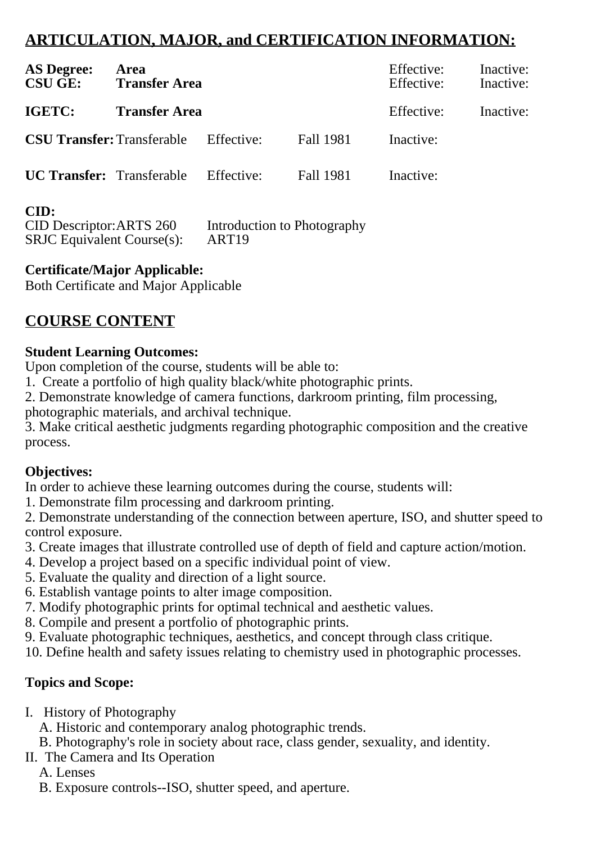# **ARTICULATION, MAJOR, and CERTIFICATION INFORMATION:**

| <b>AS Degree:</b><br><b>CSU GE:</b>          | Area<br><b>Transfer Area</b> |            |                  | Effective:<br>Effective: | Inactive:<br>Inactive: |
|----------------------------------------------|------------------------------|------------|------------------|--------------------------|------------------------|
| IGETC:                                       | <b>Transfer Area</b>         |            |                  | Effective:               | Inactive:              |
| <b>CSU Transfer:</b> Transferable Effective: |                              |            | <b>Fall 1981</b> | Inactive:                |                        |
| <b>UC Transfer:</b> Transferable             |                              | Effective: | Fall 1981        | Inactive:                |                        |

### **CID:**

| <b>CID Descriptor: ARTS 260</b>  | Introduction to Photography |
|----------------------------------|-----------------------------|
| $SRJC$ Equivalent Course $(s)$ : | ART <sub>19</sub>           |

### **Certificate/Major Applicable:**

[Both Certificate and Major Applicable](SR_ClassCheck.aspx?CourseKey=ART19)

# **COURSE CONTENT**

### **Student Learning Outcomes:**

Upon completion of the course, students will be able to:

1. Create a portfolio of high quality black/white photographic prints.

2. Demonstrate knowledge of camera functions, darkroom printing, film processing, photographic materials, and archival technique.

3. Make critical aesthetic judgments regarding photographic composition and the creative process.

### **Objectives:**

In order to achieve these learning outcomes during the course, students will:

1. Demonstrate film processing and darkroom printing.

2. Demonstrate understanding of the connection between aperture, ISO, and shutter speed to control exposure.

- 3. Create images that illustrate controlled use of depth of field and capture action/motion.
- 4. Develop a project based on a specific individual point of view.
- 5. Evaluate the quality and direction of a light source.
- 6. Establish vantage points to alter image composition.
- 7. Modify photographic prints for optimal technical and aesthetic values.
- 8. Compile and present a portfolio of photographic prints.
- 9. Evaluate photographic techniques, aesthetics, and concept through class critique.

10. Define health and safety issues relating to chemistry used in photographic processes.

## **Topics and Scope:**

I. History of Photography

A. Historic and contemporary analog photographic trends.

B. Photography's role in society about race, class gender, sexuality, and identity.

II. The Camera and Its Operation

A. Lenses

B. Exposure controls--ISO, shutter speed, and aperture.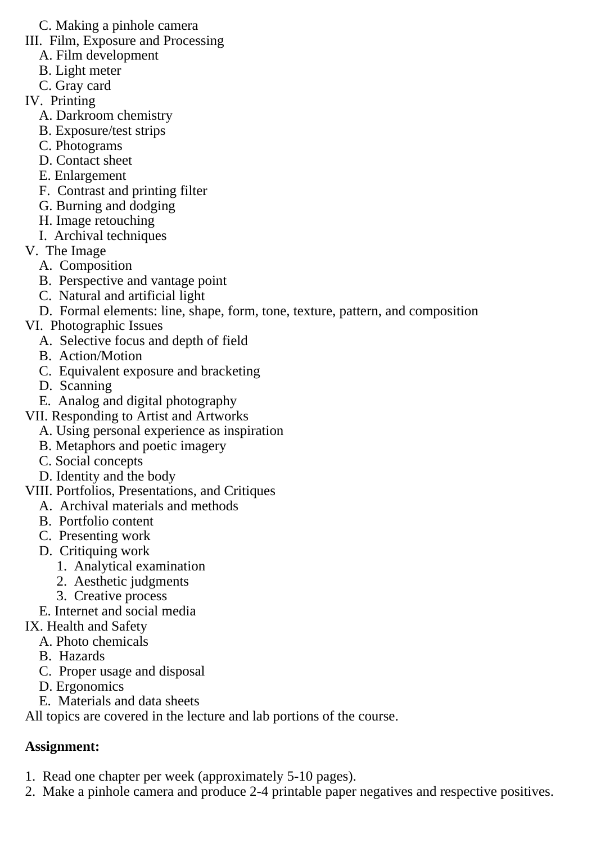- C. Making a pinhole camera
- III. Film, Exposure and Processing
	- A. Film development
	- B. Light meter
	- C. Gray card
- IV. Printing
	- A. Darkroom chemistry
	- B. Exposure/test strips
	- C. Photograms
	- D. Contact sheet
	- E. Enlargement
	- F. Contrast and printing filter
	- G. Burning and dodging
	- H. Image retouching
	- I. Archival techniques
- V. The Image
	- A. Composition
	- B. Perspective and vantage point
	- C. Natural and artificial light
	- D. Formal elements: line, shape, form, tone, texture, pattern, and composition
- VI. Photographic Issues
	- A. Selective focus and depth of field
	- B. Action/Motion
	- C. Equivalent exposure and bracketing
	- D. Scanning
	- E. Analog and digital photography
- VII. Responding to Artist and Artworks
	- A. Using personal experience as inspiration
	- B. Metaphors and poetic imagery
	- C. Social concepts
	- D. Identity and the body

## VIII. Portfolios, Presentations, and Critiques

- A. Archival materials and methods
- B. Portfolio content
- C. Presenting work
- D. Critiquing work
	- 1. Analytical examination
	- 2. Aesthetic judgments
- 3. Creative process
- E. Internet and social media
- IX. Health and Safety
	- A. Photo chemicals
	- B. Hazards
	- C. Proper usage and disposal
	- D. Ergonomics
	- E. Materials and data sheets

All topics are covered in the lecture and lab portions of the course.

# **Assignment:**

- 1. Read one chapter per week (approximately 5-10 pages).
- 2. Make a pinhole camera and produce 2-4 printable paper negatives and respective positives.